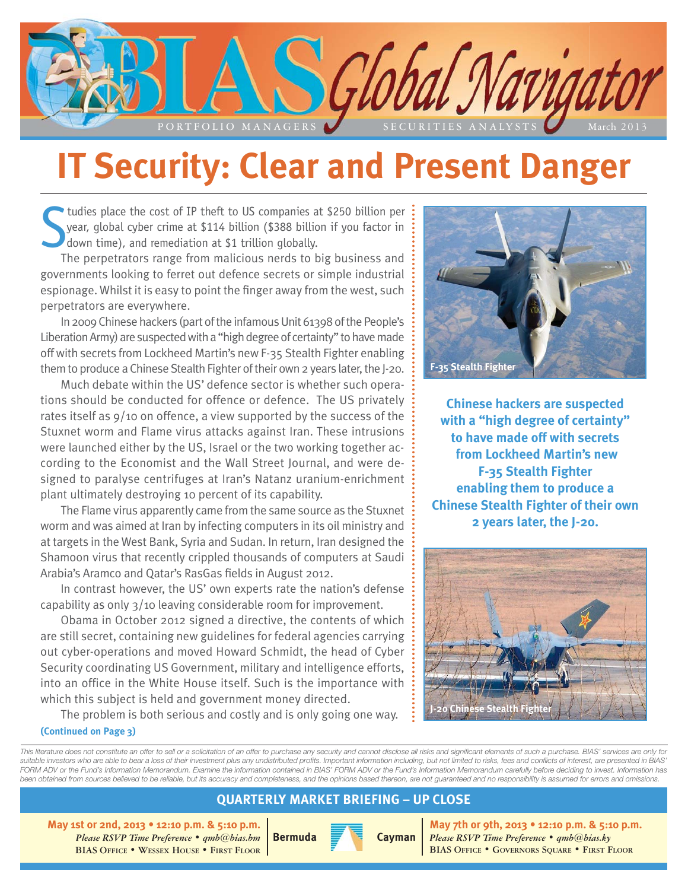

# **IT Security: Clear and Present Danger**

S tudies place the cost of IP theft to US companies at \$250 billion per year, global cyber crime at \$114 billion (\$388 billion if you factor in down time), and remediation at \$1 trillion globally.

The perpetrators range from malicious nerds to big business and governments looking to ferret out defence secrets or simple industrial espionage. Whilst it is easy to point the finger away from the west, such perpetrators are everywhere.

In 2009 Chinese hackers (part of the infamous Unit 61398 of the People's Liberation Army) are suspected with a "high degree of certainty" to have made off with secrets from Lockheed Martin's new F-35 Stealth Fighter enabling them to produce a Chinese Stealth Fighter of their own 2 years later, the J-20.

Much debate within the US' defence sector is whether such operations should be conducted for offence or defence. The US privately rates itself as 9/10 on offence, a view supported by the success of the Stuxnet worm and Flame virus attacks against Iran. These intrusions were launched either by the US, Israel or the two working together according to the Economist and the Wall Street Journal, and were designed to paralyse centrifuges at Iran's Natanz uranium-enrichment plant ultimately destroying 10 percent of its capability.

The Flame virus apparently came from the same source as the Stuxnet worm and was aimed at Iran by infecting computers in its oil ministry and at targets in the West Bank, Syria and Sudan. In return, Iran designed the Shamoon virus that recently crippled thousands of computers at Saudi Arabia's Aramco and Qatar's RasGas fields in August 2012.

In contrast however, the US' own experts rate the nation's defense capability as only 3/10 leaving considerable room for improvement.

Obama in October 2012 signed a directive, the contents of which are still secret, containing new guidelines for federal agencies carrying out cyber-operations and moved Howard Schmidt, the head of Cyber Security coordinating US Government, military and intelligence efforts, into an office in the White House itself. Such is the importance with which this subject is held and government money directed.

The problem is both serious and costly and is only going one way. **(Continued on Page 3)**



**Chinese hackers are suspected with a "high degree of certainty" to have made off with secrets from Lockheed Martin's new F-35 Stealth Fighter enabling them to produce a Chinese Stealth Fighter of their own 2 years later, the J-20.**



*This literature does not constitute an offer to sell or a solicitation of an offer to purchase any security and cannot disclose all risks and significant elements of such a purchase. BIAS' services are only for suitable investors who are able to bear a loss of their investment plus any undistributed profits. Important information including, but not limited to risks, fees and conflicts of interest, are presented in BIAS' FORM ADV or the Fund's Information Memorandum. Examine the information contained in BIAS' FORM ADV or the Fund's Information Memorandum carefully before deciding to invest. Information has been obtained from sources believed to be reliable, but its accuracy and completeness, and the opinions based thereon, are not guaranteed and no responsibility is assumed for errors and omissions.*

#### **QUARTERLY MARKET BRIEFING – UP CLOSE**

**May 1st or 2nd, 2013 • 12:10 p.m. & 5:10 p.m.** *Please RSVP Time Preference • qmb@bias.bm* **BIAS OFFICE • WESSEX HOUSE • FIRST FLOOR**



**May 7th or 9th, 2013 • 12:10 p.m. & 5:10 p.m.** *Please RSVP Time Preference • qmb@bias.ky* **BIAS OFFICE • GOVERNORS SQUARE • FIRST FLOOR**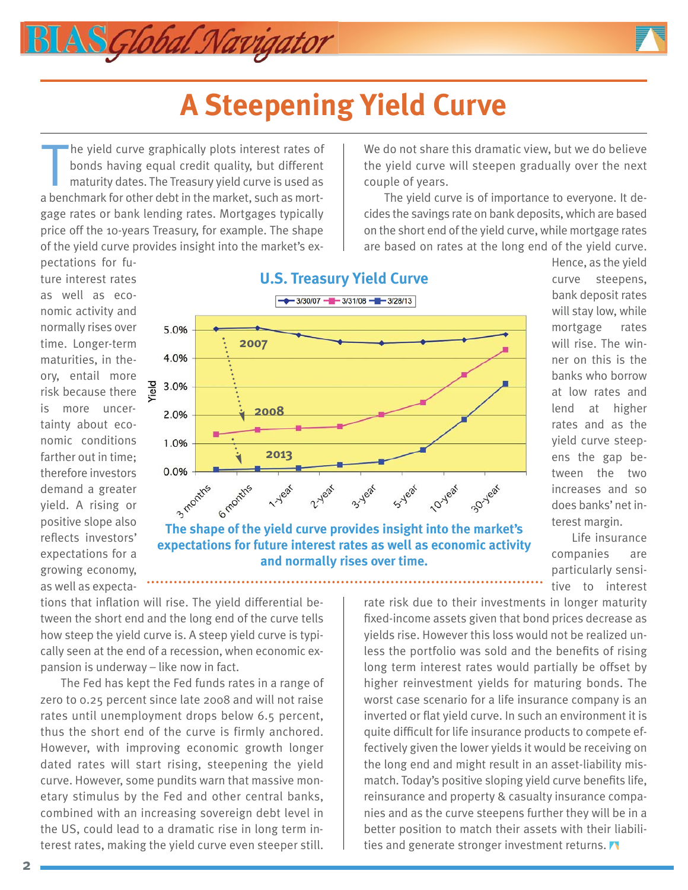

The yield curve graphically plots interest rates of<br>bonds having equal credit quality, but different<br>maturity dates. The Treasury yield curve is used as<br>a benchmark for other debt in the market, such as morthe yield curve graphically plots interest rates of bonds having equal credit quality, but different maturity dates. The Treasury yield curve is used as gage rates or bank lending rates. Mortgages typically price off the 10-years Treasury, for example. The shape of the yield curve provides insight into the market's ex-

AS Global Navigator

We do not share this dramatic view, but we do believe the yield curve will steepen gradually over the next couple of years.

The yield curve is of importance to everyone. It decides the savings rate on bank deposits, which are based on the short end of the yield curve, while mortgage rates are based on rates at the long end of the yield curve.

pectations for future interest rates as well as economic activity and normally rises over time. Longer-term maturities, in theory, entail more risk because there is more uncertainty about economic conditions farther out in time; therefore investors demand a greater yield. A rising or positive slope also reflects investors' expectations for a growing economy, as well as expecta-



**and normally rises over time.**

Hence, as the yield curve steepens, bank deposit rates will stay low, while mortgage rates will rise. The winner on this is the banks who borrow at low rates and lend at higher rates and as the yield curve steepens the gap between the two increases and so does banks' net interest margin.

Life insurance companies are particularly sensitive to interest

tions that inflation will rise. The yield differential between the short end and the long end of the curve tells how steep the yield curve is. A steep yield curve is typically seen at the end of a recession, when economic expansion is underway – like now in fact.

The Fed has kept the Fed funds rates in a range of zero to 0.25 percent since late 2008 and will not raise rates until unemployment drops below 6.5 percent, thus the short end of the curve is firmly anchored. However, with improving economic growth longer dated rates will start rising, steepening the yield curve. However, some pundits warn that massive monetary stimulus by the Fed and other central banks, combined with an increasing sovereign debt level in the US, could lead to a dramatic rise in long term interest rates, making the yield curve even steeper still.

rate risk due to their investments in longer maturity fixed-income assets given that bond prices decrease as yields rise. However this loss would not be realized unless the portfolio was sold and the benefits of rising long term interest rates would partially be offset by higher reinvestment yields for maturing bonds. The worst case scenario for a life insurance company is an inverted or flat yield curve. In such an environment it is quite difficult for life insurance products to compete effectively given the lower yields it would be receiving on the long end and might result in an asset-liability mismatch. Today's positive sloping yield curve benefits life, reinsurance and property & casualty insurance companies and as the curve steepens further they will be in a better position to match their assets with their liabilities and generate stronger investment returns.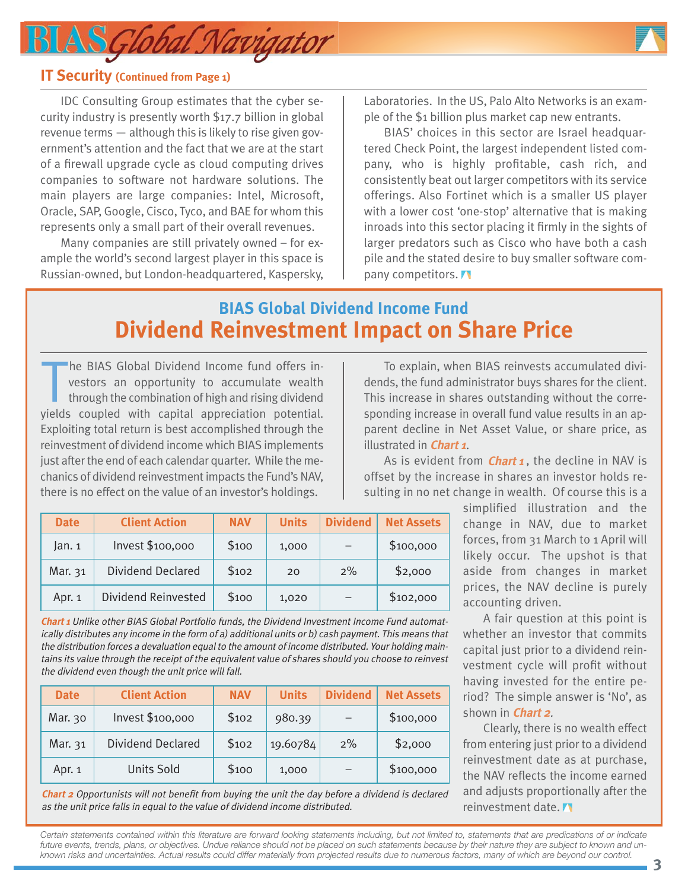## LAS Global Navigator



#### **IT Security (Continued from Page 1)**

IDC Consulting Group estimates that the cyber security industry is presently worth \$17.7 billion in global revenue terms — although this is likely to rise given government's attention and the fact that we are at the start of a firewall upgrade cycle as cloud computing drives companies to software not hardware solutions. The main players are large companies: Intel, Microsoft, Oracle, SAP, Google, Cisco, Tyco, and BAE for whom this represents only a small part of their overall revenues.

Many companies are still privately owned – for example the world's second largest player in this space is Russian-owned, but London-headquartered, Kaspersky, Laboratories. In the US, Palo Alto Networks is an example of the \$1 billion plus market cap new entrants.

BIAS' choices in this sector are Israel headquartered Check Point, the largest independent listed company, who is highly profitable, cash rich, and consistently beat out larger competitors with its service offerings. Also Fortinet which is a smaller US player with a lower cost 'one-stop' alternative that is making inroads into this sector placing it firmly in the sights of larger predators such as Cisco who have both a cash pile and the stated desire to buy smaller software company competitors.

## **BIAS Global Dividend Income Fund Dividend Reinvestment Impact on Share Price**

The BIAS Global Dividend Income fund offers investors an opportunity to accumulate wealth through the combination of high and rising dividend yields coupled with capital appreciation potential. he BIAS Global Dividend Income fund offers investors an opportunity to accumulate wealth through the combination of high and rising dividend Exploiting total return is best accomplished through the reinvestment of dividend income which BIAS implements just after the end of each calendar quarter. While the mechanics of dividend reinvestment impacts the Fund's NAV, there is no effect on the value of an investor's holdings.

| <b>Date</b> | <b>Client Action</b>     | <b>NAV</b> | <b>Units</b> | <b>Dividend</b> | <b>Net Assets</b> |
|-------------|--------------------------|------------|--------------|-----------------|-------------------|
| Jan.1       | Invest \$100,000         | \$100      | 1,000        |                 | \$100,000         |
| Mar. 31     | <b>Dividend Declared</b> | \$102      | 20           | $2\%$           | \$2,000           |
| Apr. 1      | Dividend Reinvested      | \$100      | 1,020        |                 | \$102,000         |

**Chart 1** Unlike other BIAS Global Portfolio funds, the Dividend Investment Income Fund automatically distributes any income in the form of a) additional units or b) cash payment. This means that the distribution forces a devaluation equal to the amount of income distributed. Your holding maintains its value through the receipt of the equivalent value of shares should you choose to reinvest the dividend even though the unit price will fall.

| <b>Date</b> | <b>Client Action</b> | <b>NAV</b> | <b>Units</b> | <b>Dividend</b> | <b>Net Assets</b> |
|-------------|----------------------|------------|--------------|-----------------|-------------------|
| Mar. 30     | Invest \$100,000     | \$102      | 980.39       |                 | \$100,000         |
| Mar. 31     | Dividend Declared    | \$102      | 19.60784     | 2%              | \$2,000           |
| Apr. 1      | <b>Units Sold</b>    | \$100      | 1,000        |                 | \$100,000         |

**Chart 2** Opportunists will not benefit from buying the unit the day before a dividend is declared as the unit price falls in equal to the value of dividend income distributed.

To explain, when BIAS reinvests accumulated dividends, the fund administrator buys shares for the client. This increase in shares outstanding without the corresponding increase in overall fund value results in an apparent decline in Net Asset Value, or share price, as illustrated in **Chart 1**.

As is evident from *Chart 1*, the decline in NAV is offset by the increase in shares an investor holds resulting in no net change in wealth. Of course this is a

> simplified illustration and the change in NAV, due to market forces, from 31 March to 1 April will likely occur. The upshot is that aside from changes in market prices, the NAV decline is purely accounting driven.

> A fair question at this point is whether an investor that commits capital just prior to a dividend reinvestment cycle will profit without having invested for the entire period? The simple answer is 'No', as shown in **Chart 2**.

> Clearly, there is no wealth effect from entering just prior to a dividend reinvestment date as at purchase, the NAV reflects the income earned and adjusts proportionally after the reinvestment date.

*Certain statements contained within this literature are forward looking statements including, but not limited to, statements that are predications of or indicate future events, trends, plans, or objectives. Undue reliance should not be placed on such statements because by their nature they are subject to known and unknown risks and uncertainties. Actual results could differ materially from projected results due to numerous factors, many of which are beyond our control.*